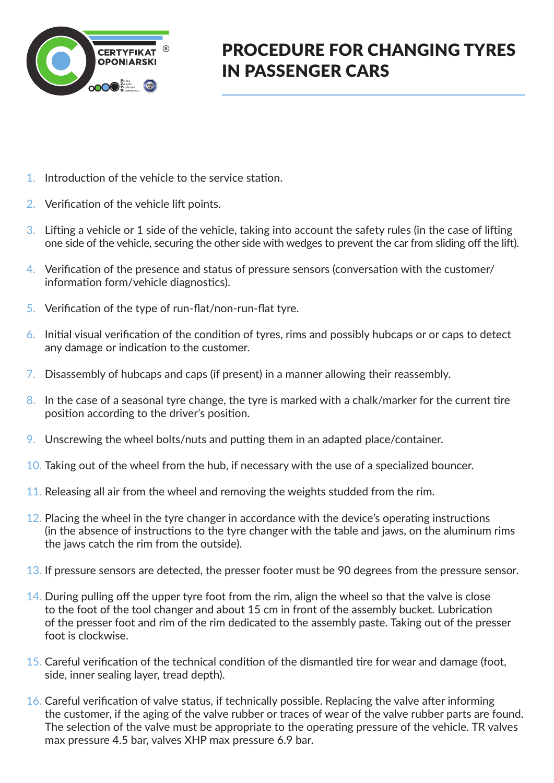

## PROCEDURE FOR CHANGING TYRES IN PASSENGER CARS

- 1. Introduction of the vehicle to the service station.
- 2. Verification of the vehicle lift points.
- 3. Lifting a vehicle or 1 side of the vehicle, taking into account the safety rules (in the case of lifting one side of the vehicle, securing the other side with wedges to prevent the car from sliding off the lift).
- 4. Verification of the presence and status of pressure sensors (conversation with the customer/ information form/vehicle diagnostics).
- 5. Verification of the type of run-flat/non-run-flat tyre.
- 6. Initial visual verification of the condition of tyres, rims and possibly hubcaps or or caps to detect any damage or indication to the customer.
- 7. Disassembly of hubcaps and caps (if present) in a manner allowing their reassembly.
- 8. In the case of a seasonal tyre change, the tyre is marked with a chalk/marker for the current tire position according to the driver's position.
- 9. Unscrewing the wheel bolts/nuts and putting them in an adapted place/container.
- 10. Taking out of the wheel from the hub, if necessary with the use of a specialized bouncer.
- 11. Releasing all air from the wheel and removing the weights studded from the rim.
- 12. Placing the wheel in the tyre changer in accordance with the device's operating instructions (in the absence of instructions to the tyre changer with the table and jaws, on the aluminum rims the jaws catch the rim from the outside).
- 13. If pressure sensors are detected, the presser footer must be 90 degrees from the pressure sensor.
- $14.$  During pulling off the upper tyre foot from the rim, align the wheel so that the valve is close to the foot of the tool changer and about 15 cm in front of the assembly bucket. Lubrication of the presser foot and rim of the rim dedicated to the assembly paste. Taking out of the presser foot is clockwise.
- 15. Careful verification of the technical condition of the dismantled tire for wear and damage (foot, side, inner sealing layer, tread depth).
- 16. Careful verification of valve status, if technically possible. Replacing the valve after informing the customer, if the aging of the valve rubber or traces of wear of the valve rubber parts are found. The selection of the valve must be appropriate to the operating pressure of the vehicle. TR valves max pressure 4.5 bar, valves XHP max pressure 6.9 bar.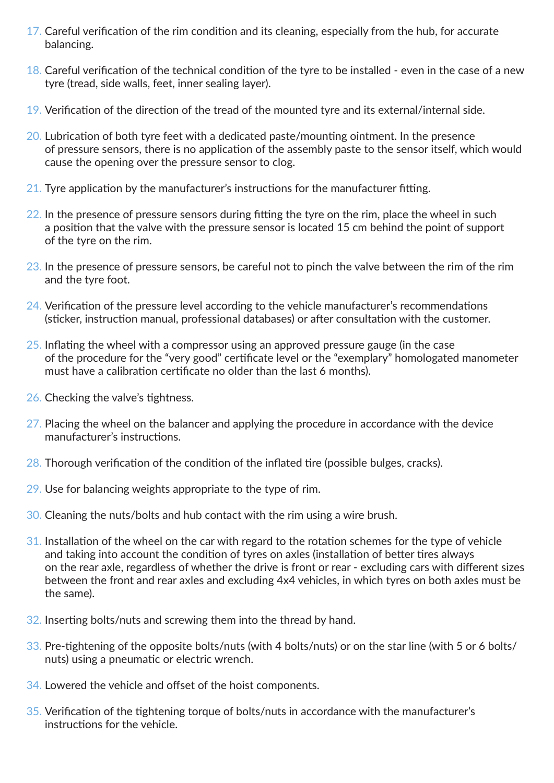- 17. Careful verification of the rim condition and its cleaning, especially from the hub, for accurate balancing.
- 18. Careful verification of the technical condition of the tyre to be installed even in the case of a new tyre (tread, side walls, feet, inner sealing layer).
- 19. Verification of the direction of the tread of the mounted tyre and its external/internal side.
- 20. Lubrication of both tyre feet with a dedicated paste/mounting ointment. In the presence of pressure sensors, there is no application of the assembly paste to the sensor itself, which would cause the opening over the pressure sensor to clog.
- 21. Tyre application by the manufacturer's instructions for the manufacturer fitting.
- 22. In the presence of pressure sensors during fitting the tyre on the rim, place the wheel in such a position that the valve with the pressure sensor is located 15 cm behind the point of support of the tyre on the rim.
- 23. In the presence of pressure sensors, be careful not to pinch the valve between the rim of the rim and the tyre foot.
- 24. Verification of the pressure level according to the vehicle manufacturer's recommendations (sticker, instruction manual, professional databases) or after consultation with the customer.
- 25. Inflating the wheel with a compressor using an approved pressure gauge (in the case of the procedure for the "very good" certificate level or the "exemplary" homologated manometer must have a calibration certificate no older than the last 6 months).
- 26. Checking the valve's tightness.
- 27. Placing the wheel on the balancer and applying the procedure in accordance with the device manufacturer's instructions.
- 28. Thorough verification of the condition of the inflated tire (possible bulges, cracks).
- 29. Use for balancing weights appropriate to the type of rim.
- 30. Cleaning the nuts/bolts and hub contact with the rim using a wire brush.
- 31. Installation of the wheel on the car with regard to the rotation schemes for the type of vehicle and taking into account the condition of tyres on axles (installation of better tires always on the rear axle, regardless of whether the drive is front or rear - excluding cars with different sizes between the front and rear axles and excluding 4x4 vehicles, in which tyres on both axles must be the same).
- 32. Inserting bolts/nuts and screwing them into the thread by hand.
- 33. Pre-tightening of the opposite bolts/nuts (with 4 bolts/nuts) or on the star line (with 5 or 6 bolts/ nuts) using a pneumatic or electric wrench.
- 34. Lowered the vehicle and offset of the hoist components.
- 35. Verification of the tightening torque of bolts/nuts in accordance with the manufacturer's instructions for the vehicle.